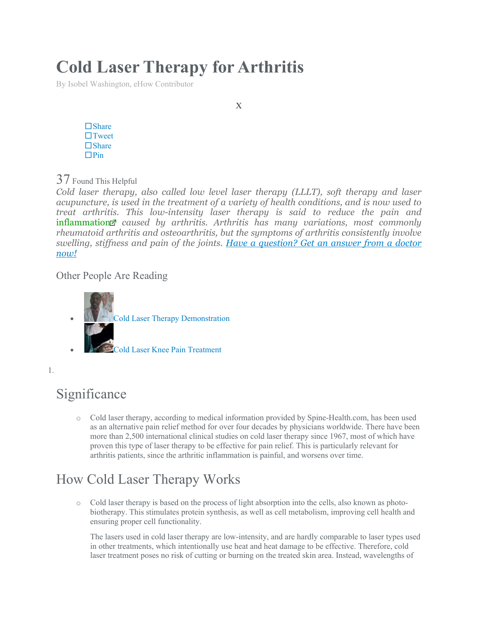# **Cold Laser Therapy for Arthritis**

By Isobel Washington, eHow Contributor

 $\square$  Share  $\Box$ Tweet □ Share  $\Box$ Pin

37 Found This Helpful

*Cold laser therapy, also called low level laser therapy (LLLT), soft therapy and laser acupuncture, is used in the treatment of a variety of health conditions, and is now used to treat arthritis. This low-intensity laser therapy is said to reduce the pain and*  [inflammation](http://www.ehow.com/about_5529888_cold-laser-therapy-arthritis.html)<sup>*z*</sup> caused by arthritis. Arthritis has many variations, most commonly *rheumatoid arthritis and osteoarthritis, but the symptoms of arthritis consistently involve swelling, stiffness and pain of the joints. [Have a question? Get an answer from a doctor](https://now.ehow.com/health?utm_source=eHow&utm_medium=intext&utm_term=Arthritis&utm_content=intext1&utm_campaign=none&article_title=Cold+Laser+Therapy+for+Arthritis)  [now!](https://now.ehow.com/health?utm_source=eHow&utm_medium=intext&utm_term=Arthritis&utm_content=intext1&utm_campaign=none&article_title=Cold+Laser+Therapy+for+Arthritis)*

Other People Are Reading



1.

# Significance

o Cold laser therapy, according to medical information provided by Spine-Health.com, has been used as an alternative pain relief method for over four decades by physicians worldwide. There have been more than 2,500 international clinical studies on cold laser therapy since 1967, most of which have proven this type of laser therapy to be effective for pain relief. This is particularly relevant for arthritis patients, since the arthritic inflammation is painful, and worsens over time.

# How Cold Laser Therapy Works

o Cold laser therapy is based on the process of light absorption into the cells, also known as photobiotherapy. This stimulates protein synthesis, as well as cell metabolism, improving cell health and ensuring proper cell functionality.

The lasers used in cold laser therapy are low-intensity, and are hardly comparable to laser types used in other treatments, which intentionally use heat and heat damage to be effective. Therefore, cold laser treatment poses no risk of cutting or burning on the treated skin area. Instead, wavelengths of

X